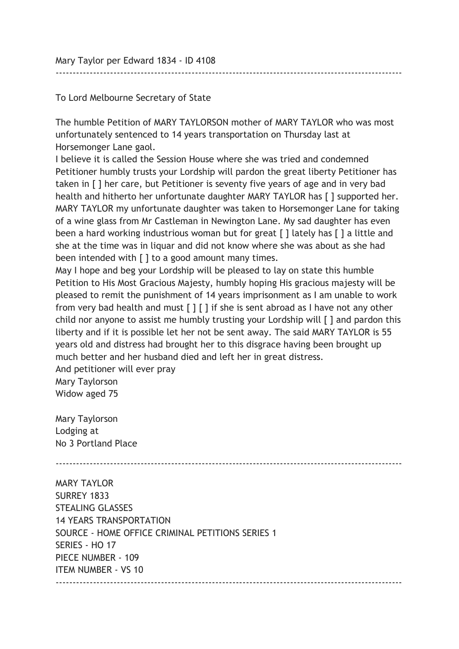Mary Taylor per Edward 1834 - ID 4108

To Lord Melbourne Secretary of State

The humble Petition of MARY TAYLORSON mother of MARY TAYLOR who was most unfortunately sentenced to 14 years transportation on Thursday last at Horsemonger Lane gaol.

------------------------------------------------------------------------------------------------------

I believe it is called the Session House where she was tried and condemned Petitioner humbly trusts your Lordship will pardon the great liberty Petitioner has taken in [ ] her care, but Petitioner is seventy five years of age and in very bad health and hitherto her unfortunate daughter MARY TAYLOR has [ ] supported her. MARY TAYLOR my unfortunate daughter was taken to Horsemonger Lane for taking of a wine glass from Mr Castleman in Newington Lane. My sad daughter has even been a hard working industrious woman but for great [] lately has [] a little and she at the time was in liquar and did not know where she was about as she had been intended with [ ] to a good amount many times.

May I hope and beg your Lordship will be pleased to lay on state this humble Petition to His Most Gracious Majesty, humbly hoping His gracious majesty will be pleased to remit the punishment of 14 years imprisonment as I am unable to work from very bad health and must [ ] [ ] if she is sent abroad as I have not any other child nor anyone to assist me humbly trusting your Lordship will [ ] and pardon this liberty and if it is possible let her not be sent away. The said MARY TAYLOR is 55 years old and distress had brought her to this disgrace having been brought up much better and her husband died and left her in great distress.

And petitioner will ever pray Mary Taylorson Widow aged 75

Mary Taylorson Lodging at No 3 Portland Place

------------------------------------------------------------------------------------------------------

MARY TAYLOR SURREY 1833 STEALING GLASSES 14 YEARS TRANSPORTATION SOURCE - HOME OFFICE CRIMINAL PETITIONS SERIES 1 SERIES - HO 17 PIECE NUMBER - 109 ITEM NUMBER - VS 10 ------------------------------------------------------------------------------------------------------